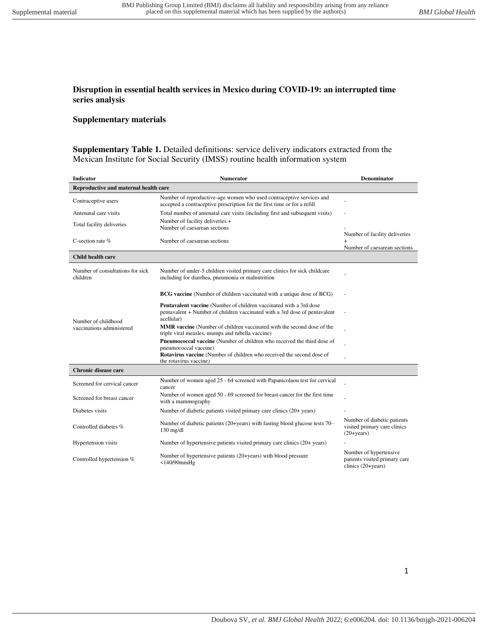## **Disruption in essential health services in Mexico during COVID-19: an interrupted time series analysis**

## **Supplementary materials**

**Supplementary Table 1.** Detailed definitions: service delivery indicators extracted from the Mexican Institute for Social Security (IMSS) routine health information system

| <b>Indicator</b>                                 | <b>Numerator</b>                                                                                                                                                      | <b>Denominator</b>                                                            |  |  |  |  |
|--------------------------------------------------|-----------------------------------------------------------------------------------------------------------------------------------------------------------------------|-------------------------------------------------------------------------------|--|--|--|--|
| Reproductive and maternal health care            |                                                                                                                                                                       |                                                                               |  |  |  |  |
| Contraceptive users                              | Number of reproductive-age women who used contraceptive services and<br>accepted a contraceptive prescription for the first time or for a refill                      |                                                                               |  |  |  |  |
| Antenatal care visits                            | Total number of antenatal care visits (including first and subsequent visits)                                                                                         |                                                                               |  |  |  |  |
| Total facility deliveries                        | Number of facility deliveries +<br>Number of caesarean sections                                                                                                       |                                                                               |  |  |  |  |
|                                                  |                                                                                                                                                                       | Number of facility deliveries                                                 |  |  |  |  |
| C-section rate $%$                               | Number of caesarean sections                                                                                                                                          |                                                                               |  |  |  |  |
|                                                  |                                                                                                                                                                       | Number of caesarean sections                                                  |  |  |  |  |
| Child health care                                |                                                                                                                                                                       |                                                                               |  |  |  |  |
| Number of consultations for sick<br>children     | Number of under-5 children visited primary care clinics for sick childcare<br>including for diarrhea, pneumonia or malnutrition                                       |                                                                               |  |  |  |  |
| Number of childhood<br>vaccinations administered | <b>BCG</b> vaccine (Number of children vaccinated with a unique dose of BCG)                                                                                          |                                                                               |  |  |  |  |
|                                                  | <b>Pentavalent vaccine</b> (Number of children vaccinated with a 3rd dose<br>pentavalent + Number of children vaccinated with a 3rd dose of pentavalent<br>acellular) |                                                                               |  |  |  |  |
|                                                  | MMR vaccine (Number of children vaccinated with the second dose of the<br>triple viral measles, mumps and rubella vaccine)                                            |                                                                               |  |  |  |  |
|                                                  | <b>Pneumococcal vaccine</b> (Number of children who received the third dose of<br>pneumococcal vaccine)                                                               |                                                                               |  |  |  |  |
|                                                  | Rotavirus vaccine (Number of children who received the second dose of<br>the rotavirus vaccine)                                                                       |                                                                               |  |  |  |  |
| Chronic disease care                             |                                                                                                                                                                       |                                                                               |  |  |  |  |
| Screened for cervical cancer                     | Number of women aged 25 - 64 screened with Papanicolaou test for cervical<br>cancer                                                                                   |                                                                               |  |  |  |  |
| Screened for breast cancer                       | Number of women aged 50 - 69 screened for breast cancer for the first time<br>with a mammography                                                                      |                                                                               |  |  |  |  |
| Diabetes visits                                  | Number of diabetic patients visited primary care clinics (20+ years)                                                                                                  |                                                                               |  |  |  |  |
| Controlled diabetes %                            | Number of diabetic patients (20+years) with fasting blood glucose tests 70–<br>$130$ mg/dl                                                                            | Number of diabetic patients<br>visited primary care clinics<br>$(20 + years)$ |  |  |  |  |
| Hypertension visits                              | Number of hypertensive patients visited primary care clinics (20+ years)                                                                                              |                                                                               |  |  |  |  |
| Controlled hypertension %                        | Number of hypertensive patients (20+years) with blood pressure<br>$<$ 140/90 $mm$ Hg                                                                                  | Number of hypertensive<br>patients visited primary care<br>clinics (20+years) |  |  |  |  |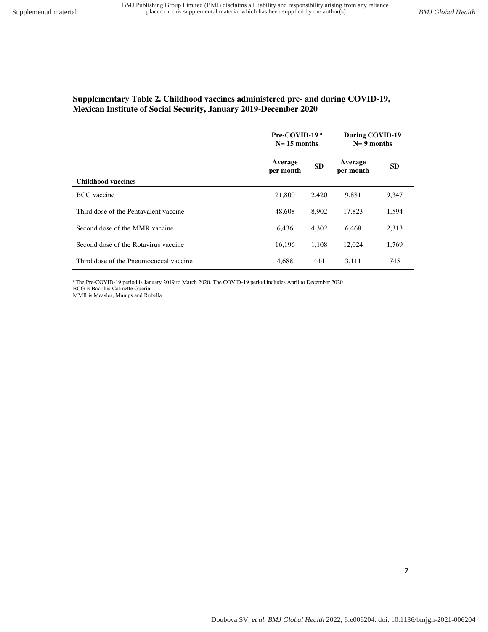# **Supplementary Table 2. Childhood vaccines administered pre- and during COVID-19, Mexican Institute of Social Security, January 2019-December 2020**

|                                        | Pre-COVID-19 <sup>a</sup><br>$N=15$ months |           | During COVID-19<br>$N = 9$ months |           |
|----------------------------------------|--------------------------------------------|-----------|-----------------------------------|-----------|
| <b>Childhood vaccines</b>              | Average<br>per month                       | <b>SD</b> | Average<br>per month              | <b>SD</b> |
|                                        |                                            |           |                                   |           |
| <b>BCG</b> vaccine                     | 21,800                                     | 2.420     | 9.881                             | 9,347     |
| Third dose of the Pentavalent vaccine  | 48,608                                     | 8,902     | 17.823                            | 1,594     |
| Second dose of the MMR vaccine         | 6.436                                      | 4,302     | 6,468                             | 2,313     |
| Second dose of the Rotavirus vaccine   | 16,196                                     | 1,108     | 12,024                            | 1,769     |
| Third dose of the Pneumococcal vaccine | 4.688                                      | 444       | 3.111                             | 745       |

<sup>a</sup>The Pre-COVID-19 period is January 2019 to March 2020. The COVID-19 period includes April to December 2020 BCG is Bacillus-Calmette Guérin

MMR is Measles, Mumps and Rubella